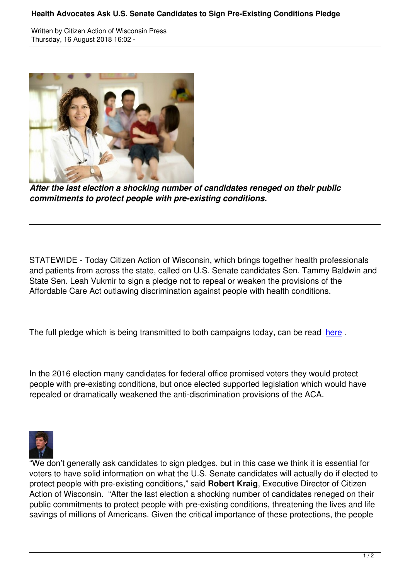

*After the last election a shocking number of candidates reneged on their public commitments to protect people with pre-existing conditions.*

STATEWIDE - Today Citizen Action of Wisconsin, which brings together health professionals and patients from across the state, called on U.S. Senate candidates Sen. Tammy Baldwin and State Sen. Leah Vukmir to sign a pledge not to repeal or weaken the provisions of the Affordable Care Act outlawing discrimination against people with health conditions.

The full pledge which is being transmitted to both campaigns today, can be read here.

In the 2016 election many candidates for federal office promised voters they wou[ld pro](https://app.box.com/s/td08at2go8b39pldg6yqr324n39ll966)tect people with pre-existing conditions, but once elected supported legislation which would have repealed or dramatically weakened the anti-discrimination provisions of the ACA.



"We don't generally ask candidates to sign pledges, but in this case we think it is essential for voters to have solid information on what the U.S. Senate candidates will actually do if elected to protect people with pre-existing conditions," said **Robert Kraig**, Executive Director of Citizen Action of Wisconsin. "After the last election a shocking number of candidates reneged on their public commitments to protect people with pre-existing conditions, threatening the lives and life savings of millions of Americans. Given the critical importance of these protections, the people